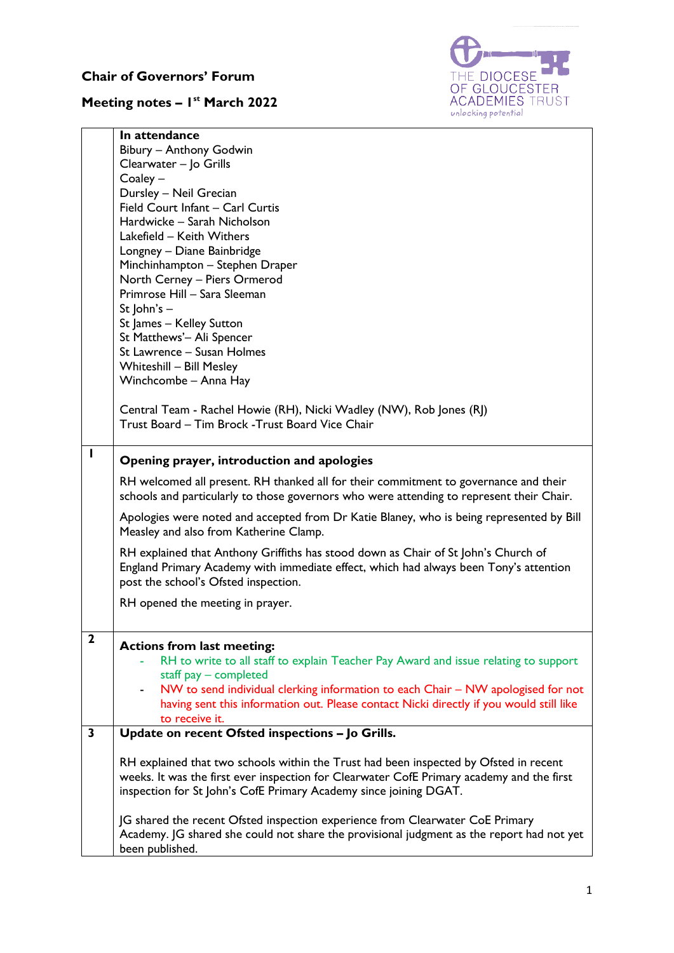## **Chair of Governors' Forum**

## **Meeting notes – 1 st March 2022**



|                         | In attendance                                                                                                                                                              |
|-------------------------|----------------------------------------------------------------------------------------------------------------------------------------------------------------------------|
|                         | Bibury - Anthony Godwin                                                                                                                                                    |
|                         | Clearwater - Jo Grills                                                                                                                                                     |
|                         | $Coaley -$                                                                                                                                                                 |
|                         | Dursley - Neil Grecian                                                                                                                                                     |
|                         | Field Court Infant - Carl Curtis                                                                                                                                           |
|                         | Hardwicke - Sarah Nicholson                                                                                                                                                |
|                         | Lakefield - Keith Withers                                                                                                                                                  |
|                         | Longney - Diane Bainbridge                                                                                                                                                 |
|                         | Minchinhampton - Stephen Draper                                                                                                                                            |
|                         | North Cerney - Piers Ormerod                                                                                                                                               |
|                         | Primrose Hill - Sara Sleeman                                                                                                                                               |
|                         | St $ ohn's -$                                                                                                                                                              |
|                         | St James - Kelley Sutton                                                                                                                                                   |
|                         | St Matthews'- Ali Spencer                                                                                                                                                  |
|                         | St Lawrence - Susan Holmes                                                                                                                                                 |
|                         | <b>Whiteshill - Bill Mesley</b>                                                                                                                                            |
|                         | Winchcombe - Anna Hay                                                                                                                                                      |
|                         |                                                                                                                                                                            |
|                         | Central Team - Rachel Howie (RH), Nicki Wadley (NW), Rob Jones (RJ)                                                                                                        |
|                         | Trust Board - Tim Brock - Trust Board Vice Chair                                                                                                                           |
|                         |                                                                                                                                                                            |
| ı                       |                                                                                                                                                                            |
|                         | Opening prayer, introduction and apologies                                                                                                                                 |
|                         | RH welcomed all present. RH thanked all for their commitment to governance and their                                                                                       |
|                         | schools and particularly to those governors who were attending to represent their Chair.                                                                                   |
|                         |                                                                                                                                                                            |
|                         | Apologies were noted and accepted from Dr Katie Blaney, who is being represented by Bill                                                                                   |
|                         | Measley and also from Katherine Clamp.                                                                                                                                     |
|                         | RH explained that Anthony Griffiths has stood down as Chair of St John's Church of                                                                                         |
|                         | England Primary Academy with immediate effect, which had always been Tony's attention                                                                                      |
|                         | post the school's Ofsted inspection.                                                                                                                                       |
|                         |                                                                                                                                                                            |
|                         | RH opened the meeting in prayer.                                                                                                                                           |
|                         |                                                                                                                                                                            |
| $\overline{\mathbf{2}}$ | <b>Actions from last meeting:</b>                                                                                                                                          |
|                         | RH to write to all staff to explain Teacher Pay Award and issue relating to support                                                                                        |
|                         | staff pay - completed                                                                                                                                                      |
|                         | - NW to send individual clerking information to each Chair - NW apologised for not                                                                                         |
|                         | having sent this information out. Please contact Nicki directly if you would still like                                                                                    |
|                         | to receive it.                                                                                                                                                             |
| 3                       | Update on recent Ofsted inspections - Jo Grills.                                                                                                                           |
|                         |                                                                                                                                                                            |
|                         | RH explained that two schools within the Trust had been inspected by Ofsted in recent                                                                                      |
|                         | weeks. It was the first ever inspection for Clearwater CofE Primary academy and the first                                                                                  |
|                         | inspection for St John's CofE Primary Academy since joining DGAT.                                                                                                          |
|                         |                                                                                                                                                                            |
|                         |                                                                                                                                                                            |
|                         | JG shared the recent Ofsted inspection experience from Clearwater CoE Primary<br>Academy. JG shared she could not share the provisional judgment as the report had not yet |
|                         |                                                                                                                                                                            |
|                         | been published.                                                                                                                                                            |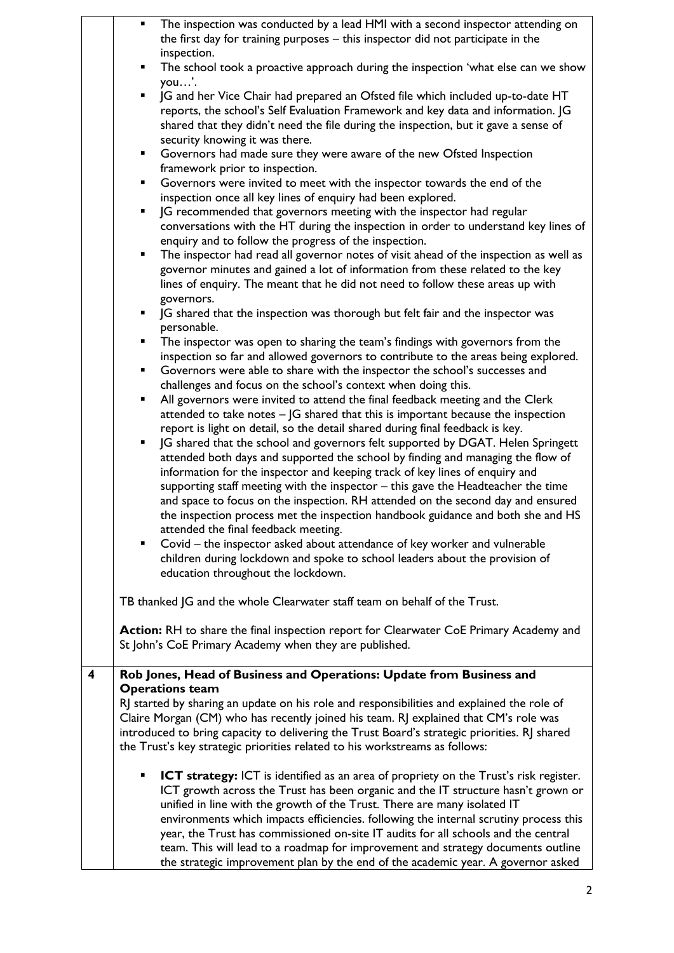|   | ٠ | The inspection was conducted by a lead HMI with a second inspector attending on<br>the first day for training purposes - this inspector did not participate in the  |
|---|---|---------------------------------------------------------------------------------------------------------------------------------------------------------------------|
|   | ٠ | inspection.<br>The school took a proactive approach during the inspection 'what else can we show                                                                    |
|   |   | you'.                                                                                                                                                               |
|   |   | JG and her Vice Chair had prepared an Ofsted file which included up-to-date HT<br>reports, the school's Self Evaluation Framework and key data and information. JG  |
|   |   | shared that they didn't need the file during the inspection, but it gave a sense of                                                                                 |
|   |   | security knowing it was there.                                                                                                                                      |
|   | ٠ | Governors had made sure they were aware of the new Ofsted Inspection                                                                                                |
|   |   | framework prior to inspection.                                                                                                                                      |
|   | ٠ | Governors were invited to meet with the inspector towards the end of the                                                                                            |
|   |   | inspection once all key lines of enquiry had been explored.                                                                                                         |
|   | ٠ | JG recommended that governors meeting with the inspector had regular                                                                                                |
|   |   | conversations with the HT during the inspection in order to understand key lines of<br>enquiry and to follow the progress of the inspection.                        |
|   | ٠ | The inspector had read all governor notes of visit ahead of the inspection as well as                                                                               |
|   |   | governor minutes and gained a lot of information from these related to the key                                                                                      |
|   |   | lines of enquiry. The meant that he did not need to follow these areas up with                                                                                      |
|   |   | governors.                                                                                                                                                          |
|   |   | JG shared that the inspection was thorough but felt fair and the inspector was<br>personable.                                                                       |
|   | ٠ | The inspector was open to sharing the team's findings with governors from the                                                                                       |
|   |   | inspection so far and allowed governors to contribute to the areas being explored.                                                                                  |
|   |   | Governors were able to share with the inspector the school's successes and                                                                                          |
|   |   | challenges and focus on the school's context when doing this.                                                                                                       |
|   | ٠ | All governors were invited to attend the final feedback meeting and the Clerk<br>attended to take notes $-$ JG shared that this is important because the inspection |
|   |   | report is light on detail, so the detail shared during final feedback is key.                                                                                       |
|   | ٠ | JG shared that the school and governors felt supported by DGAT. Helen Springett                                                                                     |
|   |   | attended both days and supported the school by finding and managing the flow of                                                                                     |
|   |   | information for the inspector and keeping track of key lines of enquiry and                                                                                         |
|   |   | supporting staff meeting with the inspector $-$ this gave the Headteacher the time                                                                                  |
|   |   | and space to focus on the inspection. RH attended on the second day and ensured                                                                                     |
|   |   | the inspection process met the inspection handbook guidance and both she and HS<br>attended the final feedback meeting.                                             |
|   |   | Covid – the inspector asked about attendance of key worker and vulnerable                                                                                           |
|   |   | children during lockdown and spoke to school leaders about the provision of                                                                                         |
|   |   | education throughout the lockdown.                                                                                                                                  |
|   |   | TB thanked JG and the whole Clearwater staff team on behalf of the Trust.                                                                                           |
|   |   |                                                                                                                                                                     |
|   |   | Action: RH to share the final inspection report for Clearwater CoE Primary Academy and                                                                              |
|   |   | St John's CoE Primary Academy when they are published.                                                                                                              |
| 4 |   | Rob Jones, Head of Business and Operations: Update from Business and                                                                                                |
|   |   | <b>Operations team</b>                                                                                                                                              |
|   |   | RJ started by sharing an update on his role and responsibilities and explained the role of                                                                          |
|   |   | Claire Morgan (CM) who has recently joined his team. RJ explained that CM's role was                                                                                |
|   |   | introduced to bring capacity to delivering the Trust Board's strategic priorities. RJ shared                                                                        |
|   |   | the Trust's key strategic priorities related to his workstreams as follows:                                                                                         |
|   |   | ICT strategy: ICT is identified as an area of propriety on the Trust's risk register.                                                                               |
|   |   | ICT growth across the Trust has been organic and the IT structure hasn't grown or                                                                                   |
|   |   | unified in line with the growth of the Trust. There are many isolated IT                                                                                            |
|   |   | environments which impacts efficiencies. following the internal scrutiny process this                                                                               |
|   |   | year, the Trust has commissioned on-site IT audits for all schools and the central                                                                                  |
|   |   | team. This will lead to a roadmap for improvement and strategy documents outline                                                                                    |
|   |   | the strategic improvement plan by the end of the academic year. A governor asked                                                                                    |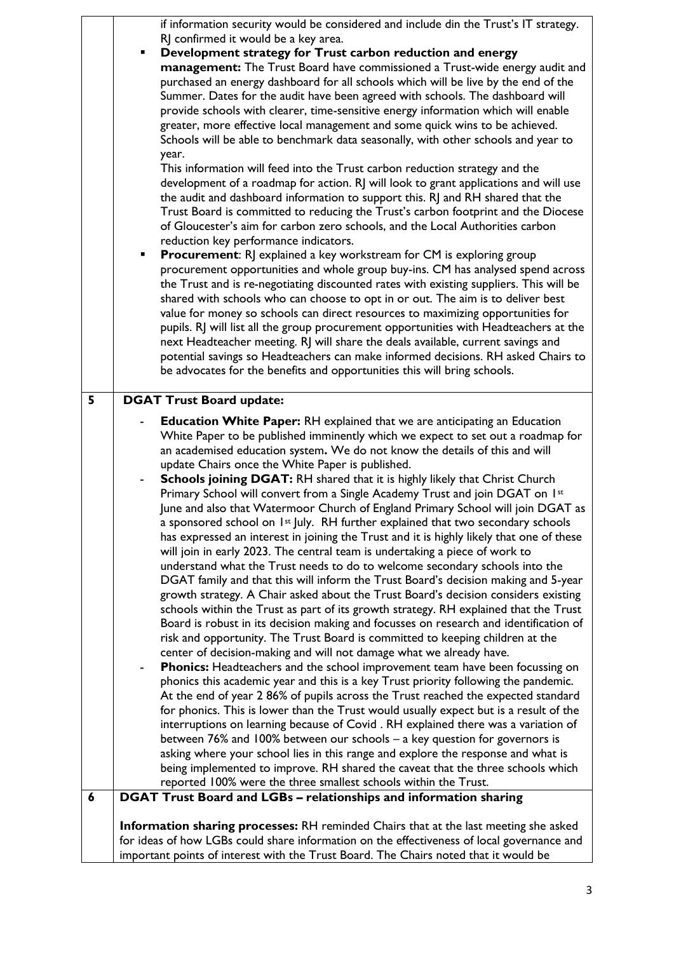|   | if information security would be considered and include din the Trust's IT strategy.<br>RJ confirmed it would be a key area.<br>Development strategy for Trust carbon reduction and energy<br>management: The Trust Board have commissioned a Trust-wide energy audit and<br>purchased an energy dashboard for all schools which will be live by the end of the<br>Summer. Dates for the audit have been agreed with schools. The dashboard will<br>provide schools with clearer, time-sensitive energy information which will enable<br>greater, more effective local management and some quick wins to be achieved.<br>Schools will be able to benchmark data seasonally, with other schools and year to<br>year.<br>This information will feed into the Trust carbon reduction strategy and the<br>development of a roadmap for action. RJ will look to grant applications and will use<br>the audit and dashboard information to support this. RJ and RH shared that the<br>Trust Board is committed to reducing the Trust's carbon footprint and the Diocese<br>of Gloucester's aim for carbon zero schools, and the Local Authorities carbon<br>reduction key performance indicators.<br>Procurement: RJ explained a key workstream for CM is exploring group<br>٠<br>procurement opportunities and whole group buy-ins. CM has analysed spend across<br>the Trust and is re-negotiating discounted rates with existing suppliers. This will be<br>shared with schools who can choose to opt in or out. The aim is to deliver best<br>value for money so schools can direct resources to maximizing opportunities for<br>pupils. RJ will list all the group procurement opportunities with Headteachers at the<br>next Headteacher meeting. RJ will share the deals available, current savings and<br>potential savings so Headteachers can make informed decisions. RH asked Chairs to<br>be advocates for the benefits and opportunities this will bring schools.                                                                                                                                                                                                                                                                                               |
|---|-------------------------------------------------------------------------------------------------------------------------------------------------------------------------------------------------------------------------------------------------------------------------------------------------------------------------------------------------------------------------------------------------------------------------------------------------------------------------------------------------------------------------------------------------------------------------------------------------------------------------------------------------------------------------------------------------------------------------------------------------------------------------------------------------------------------------------------------------------------------------------------------------------------------------------------------------------------------------------------------------------------------------------------------------------------------------------------------------------------------------------------------------------------------------------------------------------------------------------------------------------------------------------------------------------------------------------------------------------------------------------------------------------------------------------------------------------------------------------------------------------------------------------------------------------------------------------------------------------------------------------------------------------------------------------------------------------------------------------------------------------------------------------------------------------------------------------------------------------------------------------------------------------------------------------------------------------------------------------------------------------------------------------------------------------------------------------------------------------------------------------------------------------------------------------------------------------------------------------------------------------------------------|
| 5 | <b>DGAT Trust Board update:</b>                                                                                                                                                                                                                                                                                                                                                                                                                                                                                                                                                                                                                                                                                                                                                                                                                                                                                                                                                                                                                                                                                                                                                                                                                                                                                                                                                                                                                                                                                                                                                                                                                                                                                                                                                                                                                                                                                                                                                                                                                                                                                                                                                                                                                                         |
| 6 | <b>Education White Paper:</b> RH explained that we are anticipating an Education<br>White Paper to be published imminently which we expect to set out a roadmap for<br>an academised education system. We do not know the details of this and will<br>update Chairs once the White Paper is published.<br>Schools joining DGAT: RH shared that it is highly likely that Christ Church<br>Primary School will convert from a Single Academy Trust and join DGAT on 1st<br>June and also that Watermoor Church of England Primary School will join DGAT as<br>a sponsored school on 1st July. RH further explained that two secondary schools<br>has expressed an interest in joining the Trust and it is highly likely that one of these<br>will join in early 2023. The central team is undertaking a piece of work to<br>understand what the Trust needs to do to welcome secondary schools into the<br>DGAT family and that this will inform the Trust Board's decision making and 5-year<br>growth strategy. A Chair asked about the Trust Board's decision considers existing<br>schools within the Trust as part of its growth strategy. RH explained that the Trust<br>Board is robust in its decision making and focusses on research and identification of<br>risk and opportunity. The Trust Board is committed to keeping children at the<br>center of decision-making and will not damage what we already have.<br>Phonics: Headteachers and the school improvement team have been focussing on<br>phonics this academic year and this is a key Trust priority following the pandemic.<br>At the end of year 2 86% of pupils across the Trust reached the expected standard<br>for phonics. This is lower than the Trust would usually expect but is a result of the<br>interruptions on learning because of Covid. RH explained there was a variation of<br>between $76\%$ and $100\%$ between our schools – a key question for governors is<br>asking where your school lies in this range and explore the response and what is<br>being implemented to improve. RH shared the caveat that the three schools which<br>reported 100% were the three smallest schools within the Trust.<br>DGAT Trust Board and LGBs - relationships and information sharing |
|   |                                                                                                                                                                                                                                                                                                                                                                                                                                                                                                                                                                                                                                                                                                                                                                                                                                                                                                                                                                                                                                                                                                                                                                                                                                                                                                                                                                                                                                                                                                                                                                                                                                                                                                                                                                                                                                                                                                                                                                                                                                                                                                                                                                                                                                                                         |
|   | Information sharing processes: RH reminded Chairs that at the last meeting she asked<br>for ideas of how LGBs could share information on the effectiveness of local governance and<br>important points of interest with the Trust Board. The Chairs noted that it would be                                                                                                                                                                                                                                                                                                                                                                                                                                                                                                                                                                                                                                                                                                                                                                                                                                                                                                                                                                                                                                                                                                                                                                                                                                                                                                                                                                                                                                                                                                                                                                                                                                                                                                                                                                                                                                                                                                                                                                                              |